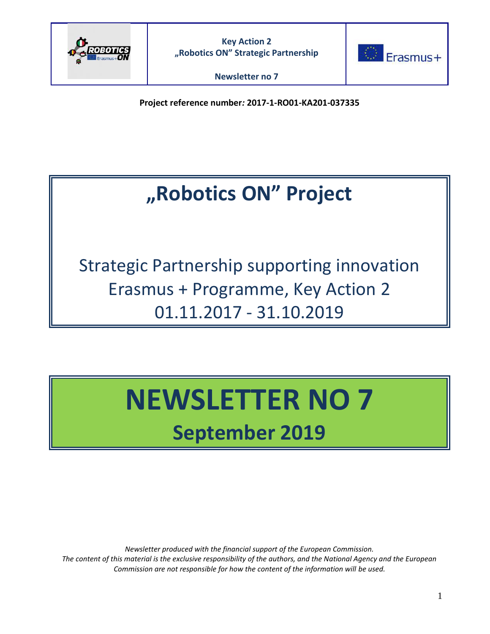



**Project reference number***:* **2017-1-RO01-KA201-037335**

# **"Robotics ON" Project**

Strategic Partnership supporting innovation Erasmus + Programme, Key Action 2 01.11.2017 - 31.10.2019

# **NEWSLETTER NO 7 September 2019**

*Newsletter produced with the financial support of the European Commission. The content of this material is the exclusive responsibility of the authors, and the National Agency and the European Commission are not responsible for how the content of the information will be used.*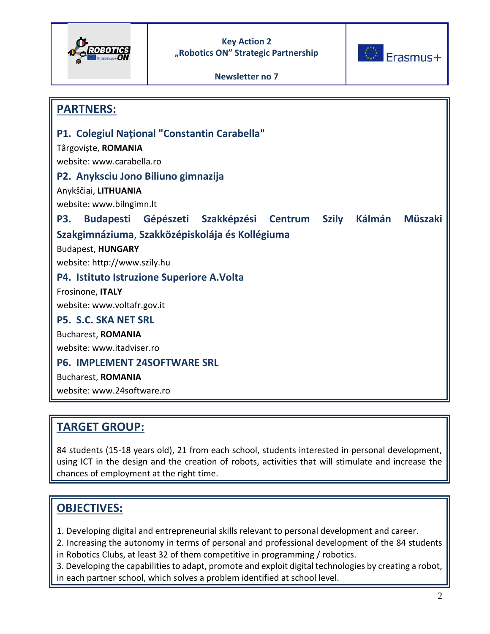



**Newsletter no 7**

| <b>PARTNERS:</b>                                    |  |                                               |  |  |        |                |
|-----------------------------------------------------|--|-----------------------------------------------|--|--|--------|----------------|
| <b>P1. Colegiul National "Constantin Carabella"</b> |  |                                               |  |  |        |                |
| Târgoviște, ROMANIA                                 |  |                                               |  |  |        |                |
| website: www.carabella.ro                           |  |                                               |  |  |        |                |
| P2. Anyksciu Jono Biliuno gimnazija                 |  |                                               |  |  |        |                |
| Anykščiai, LITHUANIA                                |  |                                               |  |  |        |                |
| website: www.bilngimn.lt                            |  |                                               |  |  |        |                |
| <b>P3.</b>                                          |  | Budapesti Gépészeti Szakképzési Centrum Szily |  |  | Kálmán | <b>Müszaki</b> |
| Szakgimnáziuma, Szakközépiskolája és Kollégiuma     |  |                                               |  |  |        |                |
| <b>Budapest, HUNGARY</b>                            |  |                                               |  |  |        |                |
| website: http://www.szily.hu                        |  |                                               |  |  |        |                |
| P4. Istituto Istruzione Superiore A. Volta          |  |                                               |  |  |        |                |
| Frosinone, ITALY                                    |  |                                               |  |  |        |                |
| website: www.voltafr.gov.it                         |  |                                               |  |  |        |                |
| <b>P5. S.C. SKA NET SRL</b>                         |  |                                               |  |  |        |                |
| <b>Bucharest, ROMANIA</b>                           |  |                                               |  |  |        |                |
| website: www.itadviser.ro                           |  |                                               |  |  |        |                |
| <b>P6. IMPLEMENT 24SOFTWARE SRL</b>                 |  |                                               |  |  |        |                |
| <b>Bucharest, ROMANIA</b>                           |  |                                               |  |  |        |                |
| website: www.24software.ro                          |  |                                               |  |  |        |                |

# **TARGET GROUP:**

84 students (15-18 years old), 21 from each school, students interested in personal development, using ICT in the design and the creation of robots, activities that will stimulate and increase the chances of employment at the right time.

# **OBJECTIVES:**

- 1. Developing digital and entrepreneurial skills relevant to personal development and career.
- 2. Increasing the autonomy in terms of personal and professional development of the 84 students in Robotics Clubs, at least 32 of them competitive in programming / robotics.
- 3. Developing the capabilities to adapt, promote and exploit digital technologies by creating a robot, in each partner school, which solves a problem identified at school level.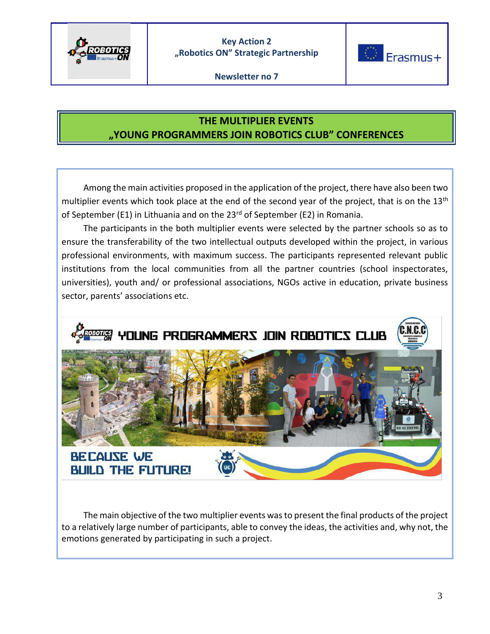



# **THE MULTIPLIER EVENTS "YOUNG PROGRAMMERS JOIN ROBOTICS CLUB" CONFERENCES**

 Among the main activities proposed in the application of the project, there have also been two multiplier events which took place at the end of the second year of the project, that is on the 13<sup>th</sup> of September (E1) in Lithuania and on the 23<sup>rd</sup> of September (E2) in Romania.

 The participants in the both multiplier events were selected by the partner schools so as to ensure the transferability of the two intellectual outputs developed within the project, in various professional environments, with maximum success. The participants represented relevant public institutions from the local communities from all the partner countries (school inspectorates, universities), youth and/ or professional associations, NGOs active in education, private business sector, parents' associations etc.



 The main objective of the two multiplier events was to present the final products of the project to a relatively large number of participants, able to convey the ideas, the activities and, why not, the emotions generated by participating in such a project.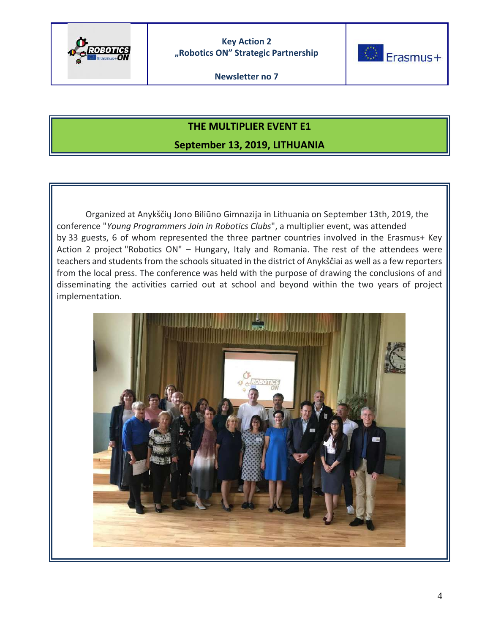



### **THE MULTIPLIER EVENT E1**

**September 13, 2019, LITHUANIA**

Organized at Anykščių Jono Biliūno Gimnazija in Lithuania on September 13th, 2019, the conference "*Young Programmers Join in Robotics Clubs*", a multiplier event, was attended by 33 guests, 6 of whom represented the three partner countries involved in the Erasmus+ Key Action 2 project "Robotics ON" – Hungary, Italy and Romania. The rest of the attendees were teachers and students from the schools situated in the district of Anykščiai as well as a few reporters from the local press. The conference was held with the purpose of drawing the conclusions of and disseminating the activities carried out at school and beyond within the two years of project implementation.

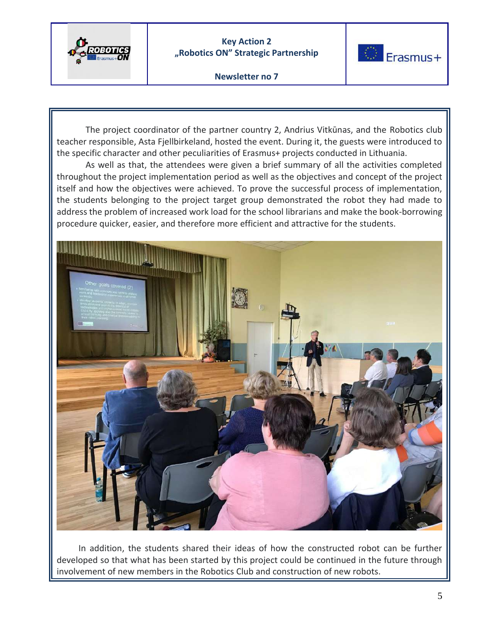



**Newsletter no 7**

The project coordinator of the partner country 2, Andrius Vitkūnas, and the Robotics club teacher responsible, Asta Fjellbirkeland, hosted the event. During it, the guests were introduced to the specific character and other peculiarities of Erasmus+ projects conducted in Lithuania.

As well as that, the attendees were given a brief summary of all the activities completed throughout the project implementation period as well as the objectives and concept of the project itself and how the objectives were achieved. To prove the successful process of implementation, the students belonging to the project target group demonstrated the robot they had made to address the problem of increased work load for the school librarians and make the book-borrowing procedure quicker, easier, and therefore more efficient and attractive for the students.



 In addition, the students shared their ideas of how the constructed robot can be further developed so that what has been started by this project could be continued in the future through involvement of new members in the Robotics Club and construction of new robots.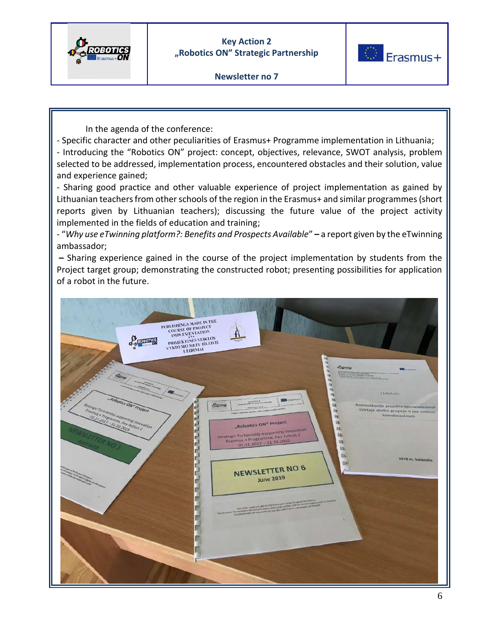



In the agenda of the conference:

- Specific character and other peculiarities of Erasmus+ Programme implementation in Lithuania; - Introducing the "Robotics ON" project: concept, objectives, relevance, SWOT analysis, problem

selected to be addressed, implementation process, encountered obstacles and their solution, value and experience gained;

- Sharing good practice and other valuable experience of project implementation as gained by Lithuanian teachers from other schools of the region in the Erasmus+ and similar programmes (short reports given by Lithuanian teachers); discussing the future value of the project activity implemented in the fields of education and training;

- "*Why use eTwinning platform?: Benefits and Prospects Available*" **–** a report given by the eTwinning ambassador;

**–** Sharing experience gained in the course of the project implementation by students from the Project target group; demonstrating the constructed robot; presenting possibilities for application of a robot in the future.

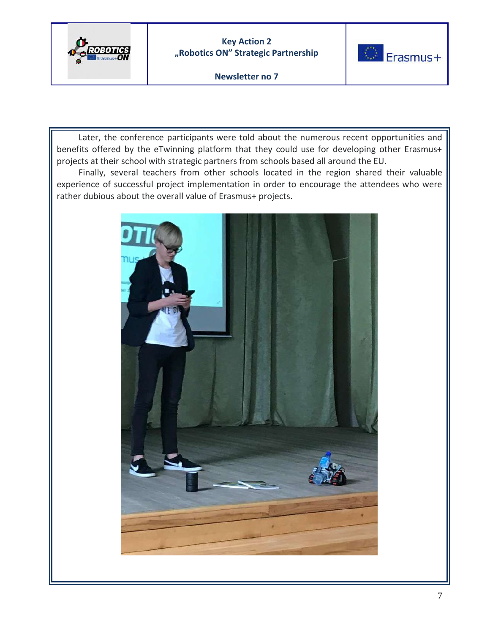



**Newsletter no 7**

 Later, the conference participants were told about the numerous recent opportunities and benefits offered by the eTwinning platform that they could use for developing other Erasmus+ projects at their school with strategic partners from schools based all around the EU.

 Finally, several teachers from other schools located in the region shared their valuable experience of successful project implementation in order to encourage the attendees who were rather dubious about the overall value of Erasmus+ projects.

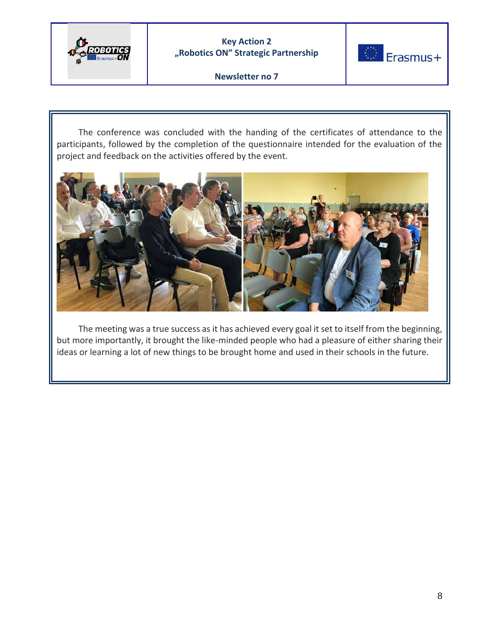



**Newsletter no 7**

 The conference was concluded with the handing of the certificates of attendance to the participants, followed by the completion of the questionnaire intended for the evaluation of the project and feedback on the activities offered by the event.



 The meeting was a true success as it has achieved every goal it set to itself from the beginning, but more importantly, it brought the like-minded people who had a pleasure of either sharing their ideas or learning a lot of new things to be brought home and used in their schools in the future.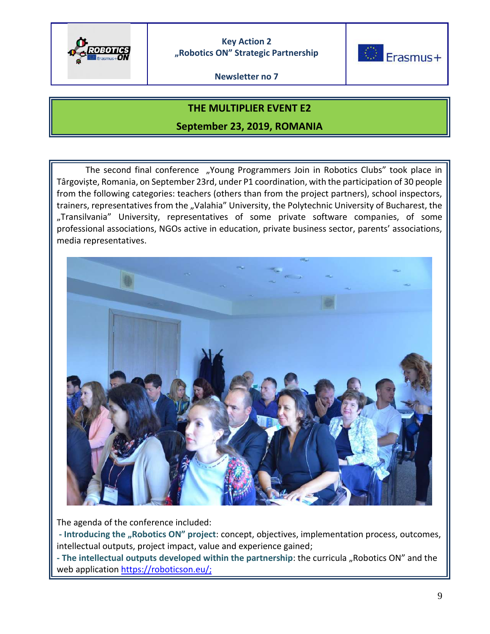

**Newsletter no 7**



#### **THE MULTIPLIER EVENT E2**

#### **September 23, 2019, ROMANIA**

The second final conference "Young Programmers Join in Robotics Clubs" took place in Târgoviște, Romania, on September 23rd, under P1 coordination, with the participation of 30 people from the following categories: teachers (others than from the project partners), school inspectors, trainers, representatives from the "Valahia" University, the Polytechnic University of Bucharest, the "Transilvania" University, representatives of some private software companies, of some professional associations, NGOs active in education, private business sector, parents' associations, media representatives.



The agenda of the conference included:

**- Introducing the "Robotics ON" project**: concept, objectives, implementation process, outcomes, intellectual outputs, project impact, value and experience gained;

**- The intellectual outputs developed within the partnership**: the curricula "Robotics ON" and the web application [https://roboticson.eu/;](https://roboticson.eu/)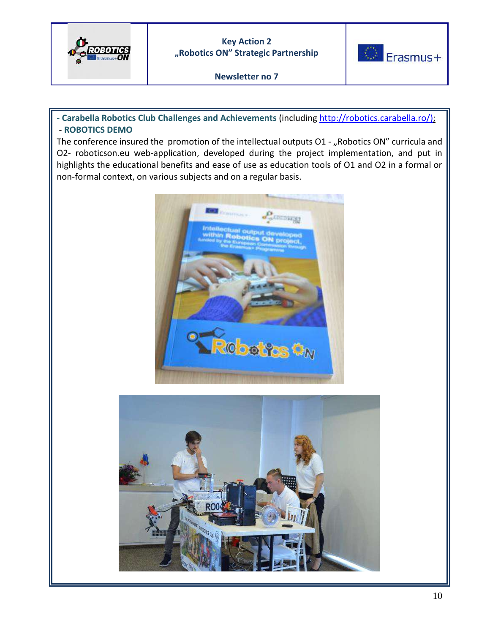





**- Carabella Robotics Club Challenges and Achievements** (including [http://robotics.carabella.ro/\)](http://robotics.carabella.ro/); - **ROBOTICS DEMO**

The conference insured the promotion of the intellectual outputs O1 - "Robotics ON" curricula and O2- roboticson.eu web-application, developed during the project implementation, and put in highlights the educational benefits and ease of use as education tools of O1 and O2 in a formal or non-formal context, on various subjects and on a regular basis.



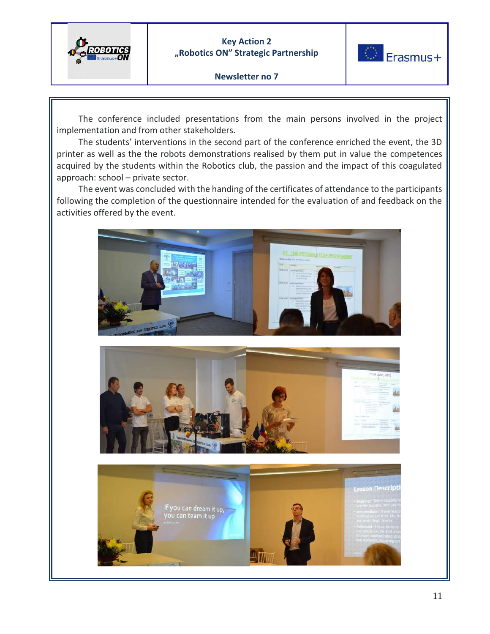



#### **Newsletter no 7**

 The conference included presentations from the main persons involved in the project implementation and from other stakeholders.

 The students' interventions in the second part of the conference enriched the event, the 3D printer as well as the the robots demonstrations realised by them put in value the competences acquired by the students within the Robotics club, the passion and the impact of this coagulated approach: school – private sector.

 The event was concluded with the handing of the certificates of attendance to the participants following the completion of the questionnaire intended for the evaluation of and feedback on the activities offered by the event.